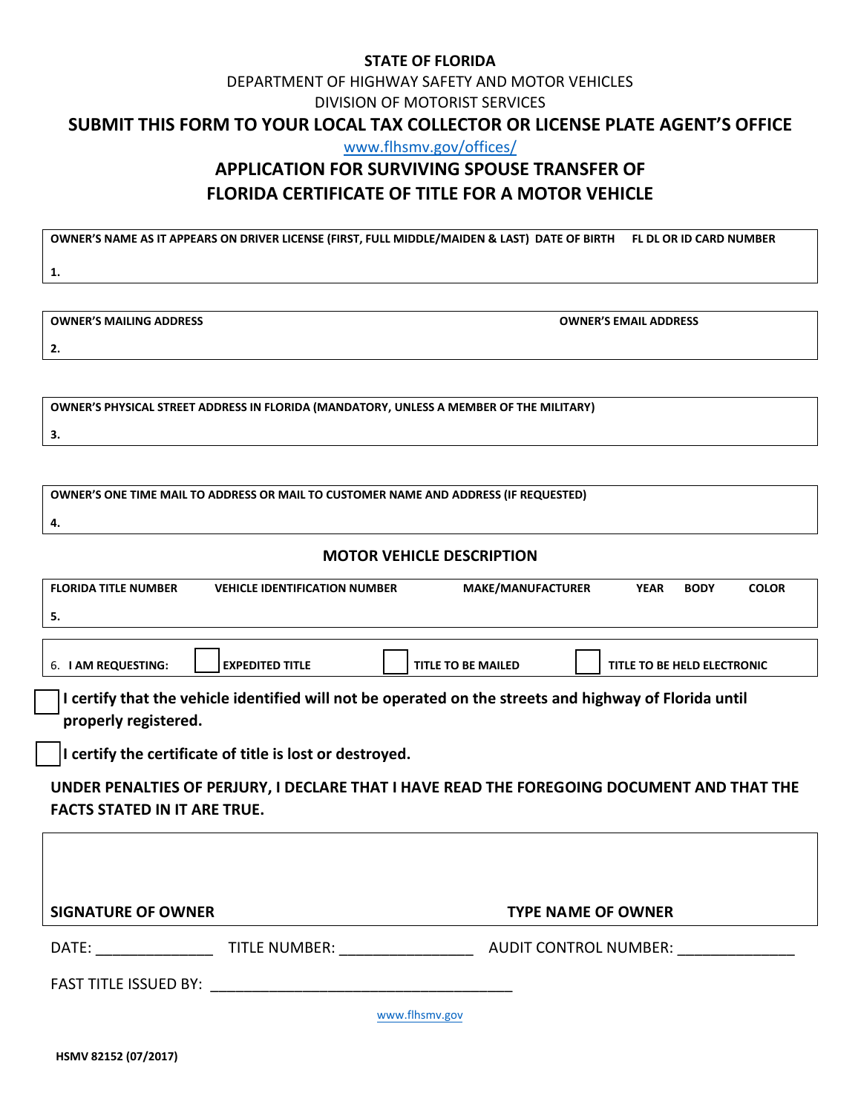#### **STATE OF FLORIDA**

## DEPARTMENT OF HIGHWAY SAFETY AND MOTOR VEHICLES DIVISION OF MOTORIST SERVICES

#### **SUBMIT THIS FORM TO YOUR LOCAL TAX COLLECTOR OR LICENSE PLATE AGENT'S OFFICE**

[www.flhsmv.gov/offices/](http://www.flhsmv.gov/OFFICES/)

# **APPLICATION FOR SURVIVING SPOUSE TRANSFER OF FLORIDA CERTIFICATE OF TITLE FOR A MOTOR VEHICLE**

**OWNER'S NAME AS IT APPEARS ON DRIVER LICENSE (FIRST, FULL MIDDLE/MAIDEN & LAST) DATE OF BIRTH FL DL OR ID CARD NUMBER**

**1.**

**OWNER'S MAILING ADDRESS OWNER'S EMAIL ADDRESS**

**2.**

**OWNER'S PHYSICAL STREET ADDRESS IN FLORIDA (MANDATORY, UNLESS A MEMBER OF THE MILITARY)**

**OWNER'S ONE TIME MAIL TO ADDRESS OR MAIL TO CUSTOMER NAME AND ADDRESS (IF REQUESTED)**

**4.**

**3.**

### **MOTOR VEHICLE DESCRIPTION**

| <b>FLORIDA TITLE NUMBER</b>                                                                            | <b>VEHICLE IDENTIFICATION NUMBER</b> |                           | <b>MAKE/MANUFACTURER</b>  |                             | <b>BODY</b> | <b>COLOR</b> |
|--------------------------------------------------------------------------------------------------------|--------------------------------------|---------------------------|---------------------------|-----------------------------|-------------|--------------|
| 5.                                                                                                     |                                      |                           |                           |                             |             |              |
|                                                                                                        |                                      |                           |                           |                             |             |              |
| 6. I AM REQUESTING:                                                                                    | <b>EXPEDITED TITLE</b>               | <b>TITLE TO BE MAILED</b> |                           | TITLE TO BE HELD ELECTRONIC |             |              |
| I certify that the vehicle identified will not be operated on the streets and highway of Florida until |                                      |                           |                           |                             |             |              |
| properly registered.                                                                                   |                                      |                           |                           |                             |             |              |
| I certify the certificate of title is lost or destroyed.                                               |                                      |                           |                           |                             |             |              |
| UNDER PENALTIES OF PERJURY, I DECLARE THAT I HAVE READ THE FOREGOING DOCUMENT AND THAT THE             |                                      |                           |                           |                             |             |              |
| <b>FACTS STATED IN IT ARE TRUE.</b>                                                                    |                                      |                           |                           |                             |             |              |
|                                                                                                        |                                      |                           |                           |                             |             |              |
|                                                                                                        |                                      |                           |                           |                             |             |              |
|                                                                                                        |                                      |                           |                           |                             |             |              |
| <b>SIGNATURE OF OWNER</b>                                                                              |                                      |                           | <b>TYPE NAME OF OWNER</b> |                             |             |              |
|                                                                                                        |                                      |                           |                           |                             |             |              |
|                                                                                                        |                                      |                           |                           |                             |             |              |
| www.flhsmv.gov                                                                                         |                                      |                           |                           |                             |             |              |